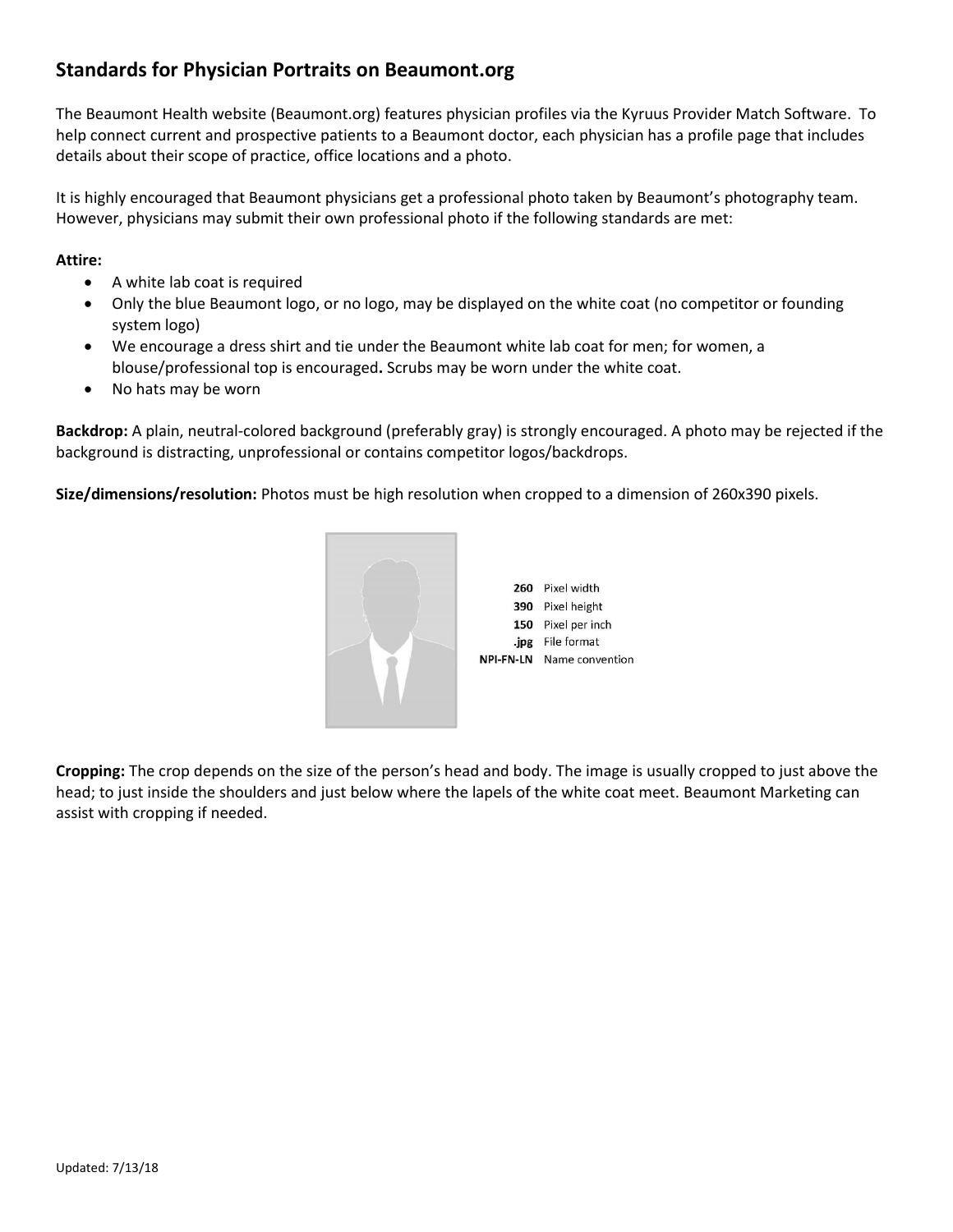## **Standards for Physician Portraits on Beaumont.org**

The Beaumont Health website (Beaumont.org) features physician profiles via the Kyruus Provider Match Software. To help connect current and prospective patients to a Beaumont doctor, each physician has a profile page that includes details about their scope of practice, office locations and a photo.

It is highly encouraged that Beaumont physicians get a professional photo taken by Beaumont's photography team. However, physicians may submit their own professional photo if the following standards are met:

## **Attire:**

- A white lab coat is required
- Only the blue Beaumont logo, or no logo, may be displayed on the white coat (no competitor or founding system logo)
- We encourage a dress shirt and tie under the Beaumont white lab coat for men; for women, a blouse/professional top is encouraged**.** Scrubs may be worn under the white coat.
- No hats may be worn

**Backdrop:** A plain, neutral-colored background (preferably gray) is strongly encouraged. A photo may be rejected if the background is distracting, unprofessional or contains competitor logos/backdrops.

**Size/dimensions/resolution:** Photos must be high resolution when cropped to a dimension of 260x390 pixels.



**Cropping:** The crop depends on the size of the person's head and body. The image is usually cropped to just above the head; to just inside the shoulders and just below where the lapels of the white coat meet. Beaumont Marketing can assist with cropping if needed.